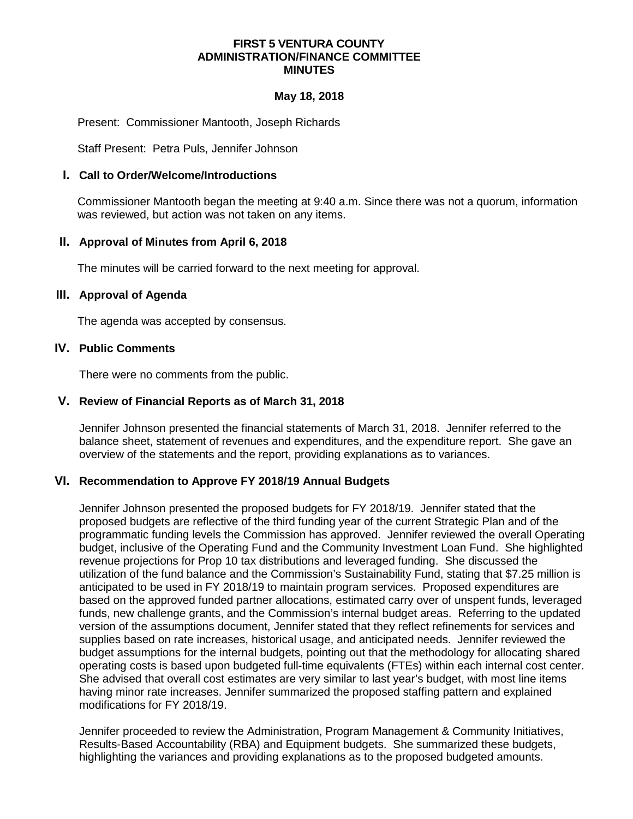#### **FIRST 5 VENTURA COUNTY ADMINISTRATION/FINANCE COMMITTEE MINUTES**

#### **May 18, 2018**

Present: Commissioner Mantooth, Joseph Richards

Staff Present: Petra Puls, Jennifer Johnson

#### **I. Call to Order/Welcome/Introductions**

Commissioner Mantooth began the meeting at 9:40 a.m. Since there was not a quorum, information was reviewed, but action was not taken on any items.

#### **II. Approval of Minutes from April 6, 2018**

The minutes will be carried forward to the next meeting for approval.

#### **III. Approval of Agenda**

The agenda was accepted by consensus.

## **IV. Public Comments**

There were no comments from the public.

#### **V. Review of Financial Reports as of March 31, 2018**

Jennifer Johnson presented the financial statements of March 31, 2018. Jennifer referred to the balance sheet, statement of revenues and expenditures, and the expenditure report. She gave an overview of the statements and the report, providing explanations as to variances.

# **VI. Recommendation to Approve FY 2018/19 Annual Budgets**

Jennifer Johnson presented the proposed budgets for FY 2018/19. Jennifer stated that the proposed budgets are reflective of the third funding year of the current Strategic Plan and of the programmatic funding levels the Commission has approved. Jennifer reviewed the overall Operating budget, inclusive of the Operating Fund and the Community Investment Loan Fund. She highlighted revenue projections for Prop 10 tax distributions and leveraged funding. She discussed the utilization of the fund balance and the Commission's Sustainability Fund, stating that \$7.25 million is anticipated to be used in FY 2018/19 to maintain program services. Proposed expenditures are based on the approved funded partner allocations, estimated carry over of unspent funds, leveraged funds, new challenge grants, and the Commission's internal budget areas. Referring to the updated version of the assumptions document, Jennifer stated that they reflect refinements for services and supplies based on rate increases, historical usage, and anticipated needs. Jennifer reviewed the budget assumptions for the internal budgets, pointing out that the methodology for allocating shared operating costs is based upon budgeted full-time equivalents (FTEs) within each internal cost center. She advised that overall cost estimates are very similar to last year's budget, with most line items having minor rate increases. Jennifer summarized the proposed staffing pattern and explained modifications for FY 2018/19.

Jennifer proceeded to review the Administration, Program Management & Community Initiatives, Results-Based Accountability (RBA) and Equipment budgets. She summarized these budgets, highlighting the variances and providing explanations as to the proposed budgeted amounts.